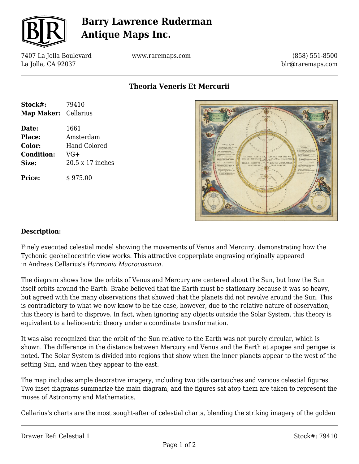

## **Barry Lawrence Ruderman Antique Maps Inc.**

7407 La Jolla Boulevard La Jolla, CA 92037

www.raremaps.com

(858) 551-8500 blr@raremaps.com

**Theoria Veneris Et Mercurii**

| Stock#:              | 79410               |
|----------------------|---------------------|
| Map Maker: Cellarius |                     |
| Date:                | 1661                |
| Place:               | Amsterdam           |
| Color:               | <b>Hand Colored</b> |
| <b>Condition:</b>    | VG+                 |
| Size:                | 20.5 x 17 inches    |
|                      |                     |

**Price:**  $\qquad$  \$ 975.00



### **Description:**

Finely executed celestial model showing the movements of Venus and Mercury, demonstrating how the Tychonic geoheliocentric view works. This attractive copperplate engraving originally appeared in Andreas Cellarius's *Harmonia Macrocosmica.*

The diagram shows how the orbits of Venus and Mercury are centered about the Sun, but how the Sun itself orbits around the Earth. Brahe believed that the Earth must be stationary because it was so heavy, but agreed with the many observations that showed that the planets did not revolve around the Sun. This is contradictory to what we now know to be the case, however, due to the relative nature of observation, this theory is hard to disprove. In fact, when ignoring any objects outside the Solar System, this theory is equivalent to a heliocentric theory under a coordinate transformation.

It was also recognized that the orbit of the Sun relative to the Earth was not purely circular, which is shown. The difference in the distance between Mercury and Venus and the Earth at apogee and perigee is noted. The Solar System is divided into regions that show when the inner planets appear to the west of the setting Sun, and when they appear to the east.

The map includes ample decorative imagery, including two title cartouches and various celestial figures. Two inset diagrams summarize the main diagram, and the figures sat atop them are taken to represent the muses of Astronomy and Mathematics.

Cellarius's charts are the most sought-after of celestial charts, blending the striking imagery of the golden